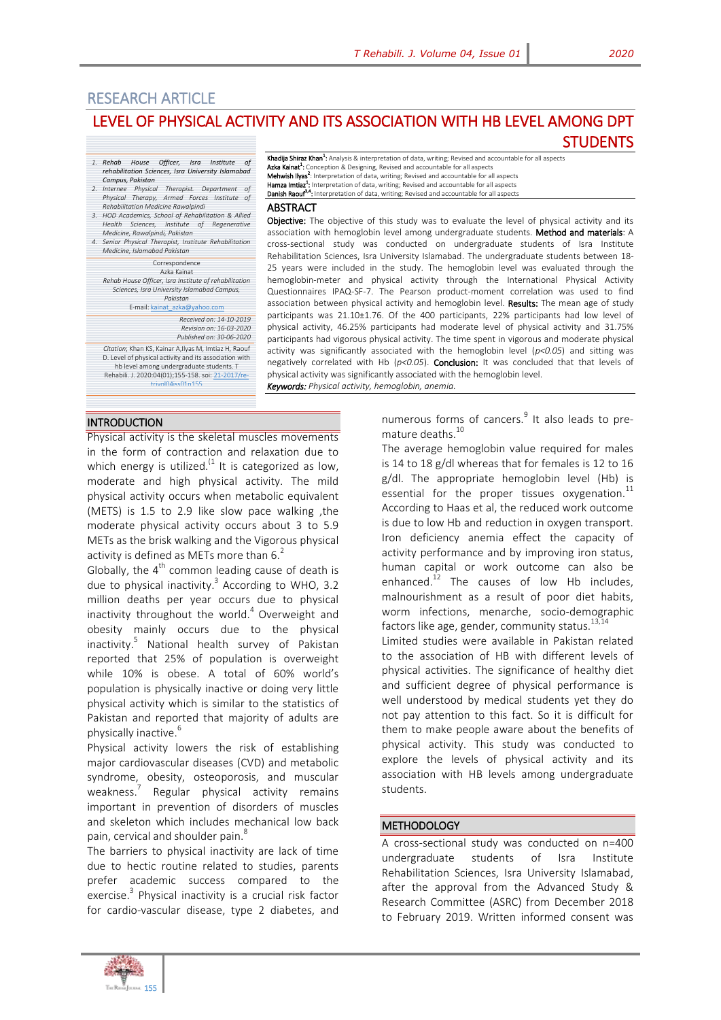**STUDENTS** 

# RESEARCH ARTICLE LEVEL OF PHYSICAL ACTIVITY AND ITS ASSOCIATION WITH HB LEVEL AMONG DPT

- *1. Rehab House Officer, Isra Institute of rehabilitation Sciences, Isra University Islamabad Campus, Pakistan 2. Internee Physical Therapist. Department of*
- *Physical Therapy, Armed Forces Institute of Rehabilitation Medicine Rawalpindi*
- *3. HOD Academics, School of Rehabilitation & Allied Health Sciences, Institute of Regenerative*
- *Medicine, Rawalpindi, Pakistan 4. Senior Physical Therapist, Institute Rehabilitation Medicine, Islamabad Pakistan*

#### Correspondence

Azka Kainat *Rehab House Officer, Isra Institute of rehabilitation Sciences, Isra University Islamabad Campus, Pakistan*

#### E-mail[: kainat\\_azka@yahoo.com](mailto:kainat_azka@yahoo.com)

*Received on: 14-10-2019 Revision on: 16-03-2020 Published on: 30-06-2020*

*Citation*; Khan KS, Kainar A,Ilyas M, Imtiaz H, Raouf D. Level of physical activity and its association with hb level among undergraduate students. T

Rehabili. J. 2020:04(01);155-158. soi[: 21-2017/re](http://trjournal.org/index.php/TRJ/article/view/12)trivol04iss01n155

**Khadija Shiraz Khan<sup>1</sup>:** Analysis & interpretation of data, writing; Revised and accountable for all aspects<br>**Azka Kainat<sup>1</sup>:** Conception & Designing, Revised and accountable for all aspects<br>**Mehwish Ilyas<sup>2</sup>:** Interpreta Hamza Imtiaz<sup>1</sup> : Interpretation of data, writing; Revised and accountable for all aspects Danish Raour<sup>3,4</sup>: Interpretation of data, writing; Revised and accountable for all aspects

**ABSTRACT** 

Objective: The objective of this study was to evaluate the level of physical activity and its association with hemoglobin level among undergraduate students. Method and materials: A cross-sectional study was conducted on undergraduate students of Isra Institute Rehabilitation Sciences, Isra University Islamabad. The undergraduate students between 18- 25 years were included in the study. The hemoglobin level was evaluated through the hemoglobin-meter and physical activity through the International Physical Activity Questionnaires IPAQ-SF-7. The Pearson product-moment correlation was used to find association between physical activity and hemoglobin level. Results: The mean age of study participants was 21.10±1.76. Of the 400 participants, 22% participants had low level of physical activity, 46.25% participants had moderate level of physical activity and 31.75% participants had vigorous physical activity. The time spent in vigorous and moderate physical activity was significantly associated with the hemoglobin level (*p<0.05*) and sitting was negatively correlated with Hb (*p<0.05*). Conclusion: It was concluded that that levels of physical activity was significantly associated with the hemoglobin level. *Keywords: Physical activity, hemoglobin, anemia.*

## INTRODUCTION

Physical activity is the skeletal muscles movements in the form of contraction and relaxation due to which energy is utilized.<sup> $(1)$ </sup> It is categorized as low, moderate and high physical activity. The mild physical activity occurs when metabolic equivalent (METS) is 1.5 to 2.9 like slow pace walking ,the moderate physical activity occurs about 3 to 5.9 METs as the brisk walking and the Vigorous physical activity is defined as METs more than  $6<sup>2</sup>$ 

Globally, the  $4<sup>th</sup>$  common leading cause of death is due to physical inactivity.<sup>3</sup> According to WHO, 3.2 million deaths per year occurs due to physical inactivity throughout the world.<sup>4</sup> Overweight and obesity mainly occurs due to the physical inactivity.<sup>5</sup> National health survey of Pakistan reported that 25% of population is overweight while 10% is obese. A total of 60% world's population is physically inactive or doing very little physical activity which is similar to the statistics of Pakistan and reported that majority of adults are physically inactive.<sup>6</sup>

Physical activity lowers the risk of establishing major cardiovascular diseases (CVD) and metabolic syndrome, obesity, osteoporosis, and muscular weakness.<sup>7</sup> Regular physical activity remains important in prevention of disorders of muscles and skeleton which includes mechanical low back pain, cervical and shoulder pain.<sup>8</sup>

The barriers to physical inactivity are lack of time due to hectic routine related to studies, parents prefer academic success compared to the exercise.<sup>3</sup> Physical inactivity is a crucial risk factor for cardio-vascular disease, type 2 diabetes, and

numerous forms of cancers.<sup>9</sup> It also leads to premature deaths.<sup>10</sup>

The average hemoglobin value required for males is 14 to 18 g/dl whereas that for females is 12 to 16 g/dl. The appropriate hemoglobin level (Hb) is essential for the proper tissues oxygenation. $^{11}$ According to Haas et al, the reduced work outcome is due to low Hb and reduction in oxygen transport. Iron deficiency anemia effect the capacity of activity performance and by improving iron status, human capital or work outcome can also be enhanced. $12$  The causes of low Hb includes, malnourishment as a result of poor diet habits, worm infections, menarche, socio-demographic factors like age, gender, community status.<sup>13,1</sup>

Limited studies were available in Pakistan related to the association of HB with different levels of physical activities. The significance of healthy diet and sufficient degree of physical performance is well understood by medical students yet they do not pay attention to this fact. So it is difficult for them to make people aware about the benefits of physical activity. This study was conducted to explore the levels of physical activity and its association with HB levels among undergraduate students.

### **METHODOLOGY**

A cross-sectional study was conducted on n=400 undergraduate students of Isra Institute Rehabilitation Sciences, Isra University Islamabad, after the approval from the Advanced Study & Research Committee (ASRC) from December 2018 to February 2019. Written informed consent was

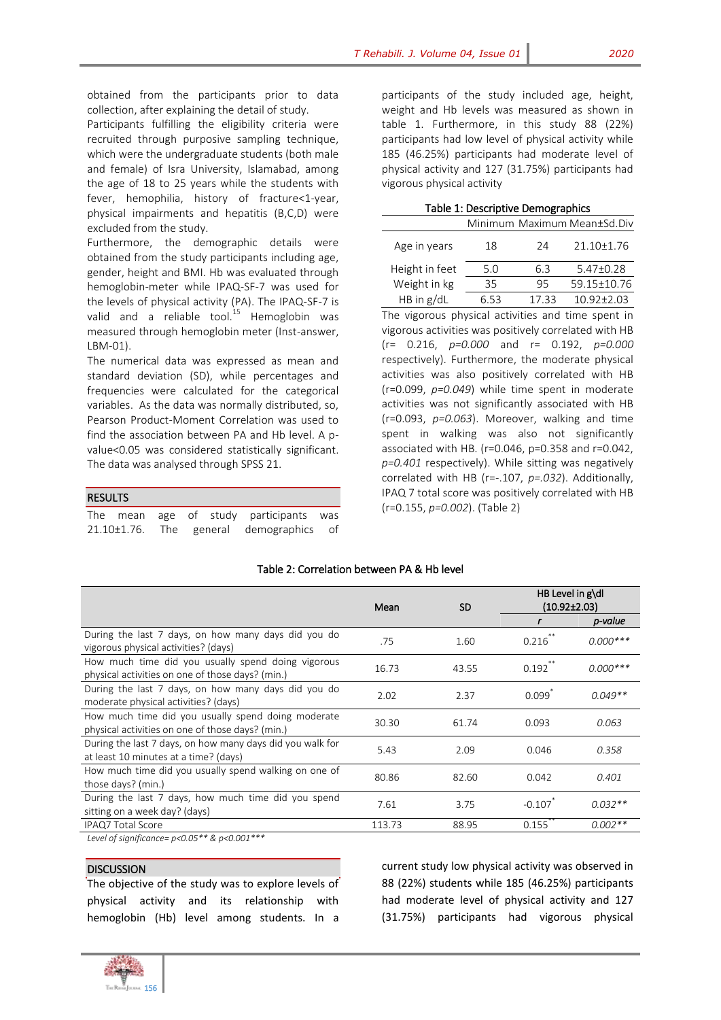obtained from the participants prior to data collection, after explaining the detail of study.

Participants fulfilling the eligibility criteria were recruited through purposive sampling technique, which were the undergraduate students (both male and female) of Isra University, Islamabad, among the age of 18 to 25 years while the students with fever, hemophilia, history of fracture<1-year, physical impairments and hepatitis (B,C,D) were excluded from the study.

Furthermore, the demographic details were obtained from the study participants including age, gender, height and BMI. Hb was evaluated through hemoglobin-meter while IPAQ-SF-7 was used for the levels of physical activity (PA). The IPAQ-SF-7 is valid and a reliable tool.<sup>15</sup> Hemoglobin was measured through hemoglobin meter (Inst-answer, LBM-01).

The numerical data was expressed as mean and standard deviation (SD), while percentages and frequencies were calculated for the categorical variables. As the data was normally distributed, so, Pearson Product-Moment Correlation was used to find the association between PA and Hb level. A pvalue<0.05 was considered statistically significant. The data was analysed through SPSS 21.

## RESULTS

|  |  | The mean age of study participants was  |  |
|--|--|-----------------------------------------|--|
|  |  | 21.10±1.76. The general demographics of |  |

participants of the study included age, height, weight and Hb levels was measured as shown in table 1. Furthermore, in this study 88 (22%) participants had low level of physical activity while 185 (46.25%) participants had moderate level of physical activity and 127 (31.75%) participants had vigorous physical activity

|  | Table 1: Descriptive Demographics |
|--|-----------------------------------|
|--|-----------------------------------|

|                | Minimum Maximum Mean±Sd.Div |      |                |  |  |
|----------------|-----------------------------|------|----------------|--|--|
| Age in years   | 18                          | 24   | 21.10±1.76     |  |  |
| Height in feet | 5.0                         | 63   | $5.47+0.28$    |  |  |
| Weight in kg   | 35                          | 95   | 59.15±10.76    |  |  |
| HB in $g/dL$   |                             | 1733 | $10.92 + 2.03$ |  |  |

The vigorous physical activities and time spent in vigorous activities was positively correlated with HB (r= 0.216, *p=0.000* and r= 0.192, *p=0.000* respectively). Furthermore, the moderate physical activities was also positively correlated with HB (r=0.099, *p=0.049*) while time spent in moderate activities was not significantly associated with HB (r=0.093, *p=0.063*). Moreover, walking and time spent in walking was also not significantly associated with HB. (r=0.046, p=0.358 and r=0.042, *p=0.401* respectively). While sitting was negatively correlated with HB (r=-.107, *p=.032*). Additionally, IPAQ 7 total score was positively correlated with HB (r=0.155, *p=0.002*). (Table 2)

|                                                                                                        | Mean   | <b>SD</b> | HB Level in $g\ddot{\text{dl}}$<br>$(10.92\pm2.03)$ |            |
|--------------------------------------------------------------------------------------------------------|--------|-----------|-----------------------------------------------------|------------|
|                                                                                                        |        |           |                                                     | p-value    |
| During the last 7 days, on how many days did you do<br>vigorous physical activities? (days)            | .75    | 1.60      | 0.216                                               | $0.000***$ |
| How much time did you usually spend doing vigorous<br>physical activities on one of those days? (min.) | 16.73  | 43.55     | 0.192                                               | $0.000***$ |
| During the last 7 days, on how many days did you do<br>moderate physical activities? (days)            | 2.02   | 2.37      | 0.099                                               | $0.049**$  |
| How much time did you usually spend doing moderate<br>physical activities on one of those days? (min.) | 30.30  | 61.74     | 0.093                                               | 0.063      |
| During the last 7 days, on how many days did you walk for<br>at least 10 minutes at a time? (days)     | 5.43   | 2.09      | 0.046                                               | 0.358      |
| How much time did you usually spend walking on one of<br>those days? (min.)                            | 80.86  | 82.60     | 0.042                                               | 0.401      |
| During the last 7 days, how much time did you spend<br>sitting on a week day? (days)                   | 7.61   | 3.75      | $-0.107$                                            | $0.032**$  |
| IPAQ7 Total Score                                                                                      | 113.73 | 88.95     | 0.155                                               | $0.002**$  |
|                                                                                                        |        |           |                                                     |            |

## Table 2: Correlation between PA & Hb level

*Level of significance=*  $p$ *<0.05\*\* &*  $p$ *<0.001* 

# **DISCUSSION**

The objective of the study was to explore levels of physical activity and its relationship with hemoglobin (Hb) level among students. In a current study low physical activity was observed in 88 (22%) students while 185 (46.25%) participants had moderate level of physical activity and 127 (31.75%) participants had vigorous physical

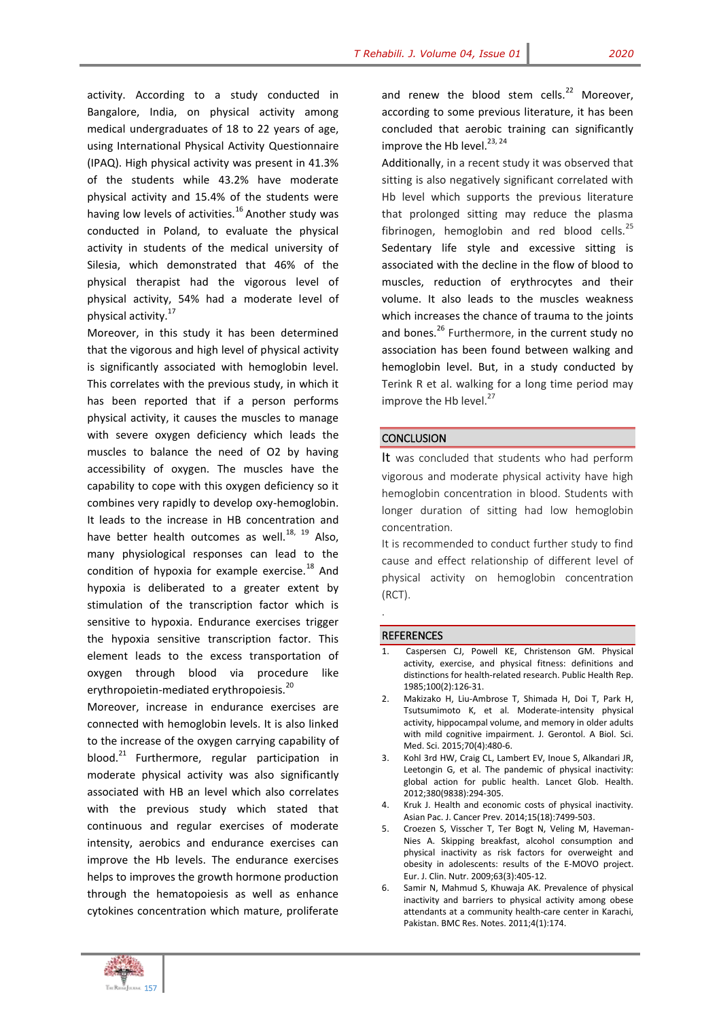activity. According to a study conducted in Bangalore, India, on physical activity among medical undergraduates of 18 to 22 years of age, using International Physical Activity Questionnaire (IPAQ). High physical activity was present in 41.3% of the students while 43.2% have moderate physical activity and 15.4% of the students were having low levels of activities.<sup>16</sup> Another study was conducted in Poland, to evaluate the physical activity in students of the medical university of Silesia, which demonstrated that 46% of the physical therapist had the vigorous level of physical activity, 54% had a moderate level of physical activity.<sup>17</sup>

Moreover, in this study it has been determined that the vigorous and high level of physical activity is significantly associated with hemoglobin level. This correlates with the previous study, in which it has been reported that if a person performs physical activity, it causes the muscles to manage with severe oxygen deficiency which leads the muscles to balance the need of O2 by having accessibility of oxygen. The muscles have the capability to cope with this oxygen deficiency so it combines very rapidly to develop oxy-hemoglobin. It leads to the increase in HB concentration and have better health outcomes as well. $^{18, 19}$  Also, many physiological responses can lead to the condition of hypoxia for example exercise.<sup>18</sup> And hypoxia is deliberated to a greater extent by stimulation of the transcription factor which is sensitive to hypoxia. Endurance exercises trigger the hypoxia sensitive transcription factor. This element leads to the excess transportation of oxygen through blood via procedure like erythropoietin-mediated erythropoiesis.<sup>20</sup>

Moreover, increase in endurance exercises are connected with hemoglobin levels. It is also linked to the increase of the oxygen carrying capability of blood.<sup>21</sup> Furthermore, regular participation in moderate physical activity was also significantly associated with HB an level which also correlates with the previous study which stated that continuous and regular exercises of moderate intensity, aerobics and endurance exercises can improve the Hb levels. The endurance exercises helps to improves the growth hormone production through the hematopoiesis as well as enhance cytokines concentration which mature, proliferate

and renew the blood stem cells. $^{22}$  Moreover, according to some previous literature, it has been concluded that aerobic training can significantly improve the Hb level.<sup>23, 24</sup>

Additionally, in a recent study it was observed that sitting is also negatively significant correlated with Hb level which supports the previous literature that prolonged sitting may reduce the plasma fibrinogen, hemoglobin and red blood cells.<sup>25</sup> Sedentary life style and excessive sitting is associated with the decline in the flow of blood to muscles, reduction of erythrocytes and their volume. It also leads to the muscles weakness which increases the chance of trauma to the joints and bones.<sup>26</sup> Furthermore, in the current study no association has been found between walking and hemoglobin level. But, in a study conducted by Terink R et al. walking for a long time period may improve the Hb level.<sup>27</sup>

#### **CONCLUSION**

It was concluded that students who had perform vigorous and moderate physical activity have high hemoglobin concentration in blood. Students with longer duration of sitting had low hemoglobin concentration.

It is recommended to conduct further study to find cause and effect relationship of different level of physical activity on hemoglobin concentration (RCT).

#### **REFERENCES**

.

- Caspersen CJ, Powell KE, Christenson GM. Physical activity, exercise, and physical fitness: definitions and distinctions for health-related research. Public Health Rep. 1985;100(2):126-31.
- 2. Makizako H, Liu-Ambrose T, Shimada H, Doi T, Park H, Tsutsumimoto K, et al. Moderate-intensity physical activity, hippocampal volume, and memory in older adults with mild cognitive impairment. J. Gerontol. A Biol. Sci. Med. Sci. 2015;70(4):480-6.
- 3. Kohl 3rd HW, Craig CL, Lambert EV, Inoue S, Alkandari JR, Leetongin G, et al. The pandemic of physical inactivity: global action for public health. Lancet Glob. Health. 2012;380(9838):294-305.
- 4. Kruk J. Health and economic costs of physical inactivity. Asian Pac. J. Cancer Prev. 2014;15(18):7499-503.
- 5. Croezen S, Visscher T, Ter Bogt N, Veling M, Haveman-Nies A. Skipping breakfast, alcohol consumption and physical inactivity as risk factors for overweight and obesity in adolescents: results of the E-MOVO project. Eur. J. Clin. Nutr. 2009;63(3):405-12.
- 6. Samir N, Mahmud S, Khuwaja AK. Prevalence of physical inactivity and barriers to physical activity among obese attendants at a community health-care center in Karachi, Pakistan. BMC Res. Notes. 2011;4(1):174.